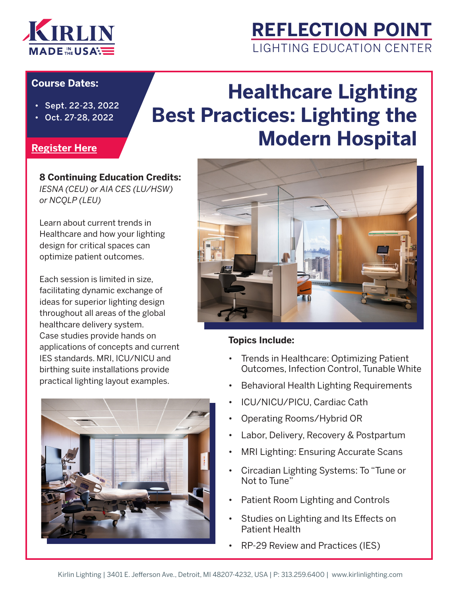

### **REFLECTION POINT** LIGHTING EDUCATION CENTER

#### **Course Dates:**

- Sept. 22-23, 2022
- Oct. 27-28, 2022

# **Healthcare Lighting Best Practices: Lighting the Modern Hospital**

#### **[Register Here](https://www.docs.google.com/forms/d/e/1FAIpQLScTzOn4DAs5ZO6WBx5POxCcx4VyVTMTvv3O-zUORA6Cddxk_w/viewform)**

### **8 Continuing Education Credits:**

*IESNA (CEU) or AIA CES (LU/HSW) or NCQLP (LEU)*

Learn about current trends in Healthcare and how your lighting design for critical spaces can optimize patient outcomes.

Each session is limited in size, facilitating dynamic exchange of ideas for superior lighting design throughout all areas of the global healthcare delivery system. Case studies provide hands on applications of concepts and current IES standards. MRI, ICU/NICU and birthing suite installations provide practical lighting layout examples.





#### **Topics Include:**

- Trends in Healthcare: Optimizing Patient Outcomes, Infection Control, Tunable White
- Behavioral Health Lighting Requirements
- ICU/NICU/PICU, Cardiac Cath
- Operating Rooms/Hybrid OR
- Labor, Delivery, Recovery & Postpartum
- MRI Lighting: Ensuring Accurate Scans
- Circadian Lighting Systems: To "Tune or Not to Tune"
- Patient Room Lighting and Controls
- Studies on Lighting and Its Effects on Patient Health
- RP-29 Review and Practices (IES)